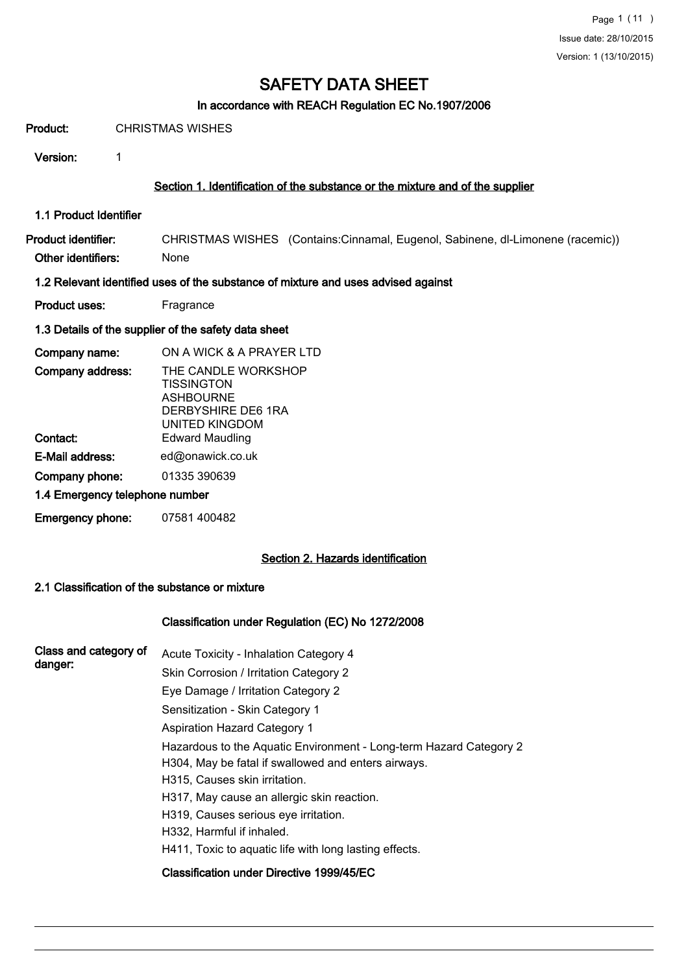#### In accordance with REACH Regulation EC No.1907/2006

Product: CHRISTMAS WISHES

Version: 1

#### Section 1. Identification of the substance or the mixture and of the supplier

1.1 Product Identifier

Product identifier: CHRISTMAS WISHES (Contains:Cinnamal, Eugenol, Sabinene, dl-Limonene (racemic)) Other identifiers: None

#### 1.2 Relevant identified uses of the substance of mixture and uses advised against

Product uses: Fragrance

#### 1.3 Details of the supplier of the safety data sheet

| Company name:                  | ON A WICK & A PRAYER LTD                                                                             |
|--------------------------------|------------------------------------------------------------------------------------------------------|
| Company address:               | THE CANDLE WORKSHOP<br><b>TISSINGTON</b><br><b>ASHBOURNE</b><br>DERBYSHIRE DE6 1RA<br>UNITED KINGDOM |
| Contact:                       | <b>Edward Maudling</b>                                                                               |
| E-Mail address:                | ed@onawick.co.uk                                                                                     |
| Company phone:                 | 01335 390639                                                                                         |
| 1.4 Emergency telephone number |                                                                                                      |
|                                |                                                                                                      |

#### Section 2. Hazards identification

#### 2.1 Classification of the substance or mixture

Emergency phone: 07581 400482

#### Classification under Regulation (EC) No 1272/2008

| Class and category of | Acute Toxicity - Inhalation Category 4                             |  |  |  |  |  |
|-----------------------|--------------------------------------------------------------------|--|--|--|--|--|
| danger:               | Skin Corrosion / Irritation Category 2                             |  |  |  |  |  |
|                       | Eye Damage / Irritation Category 2                                 |  |  |  |  |  |
|                       | Sensitization - Skin Category 1                                    |  |  |  |  |  |
|                       | <b>Aspiration Hazard Category 1</b>                                |  |  |  |  |  |
|                       | Hazardous to the Aquatic Environment - Long-term Hazard Category 2 |  |  |  |  |  |
|                       | H304, May be fatal if swallowed and enters airways.                |  |  |  |  |  |
|                       | H315, Causes skin irritation.                                      |  |  |  |  |  |
|                       | H317, May cause an allergic skin reaction.                         |  |  |  |  |  |
|                       | H319, Causes serious eye irritation.                               |  |  |  |  |  |
|                       | H332, Harmful if inhaled.                                          |  |  |  |  |  |
|                       | H411, Toxic to aquatic life with long lasting effects.             |  |  |  |  |  |
|                       | Classification under Directive 1999/45/EC                          |  |  |  |  |  |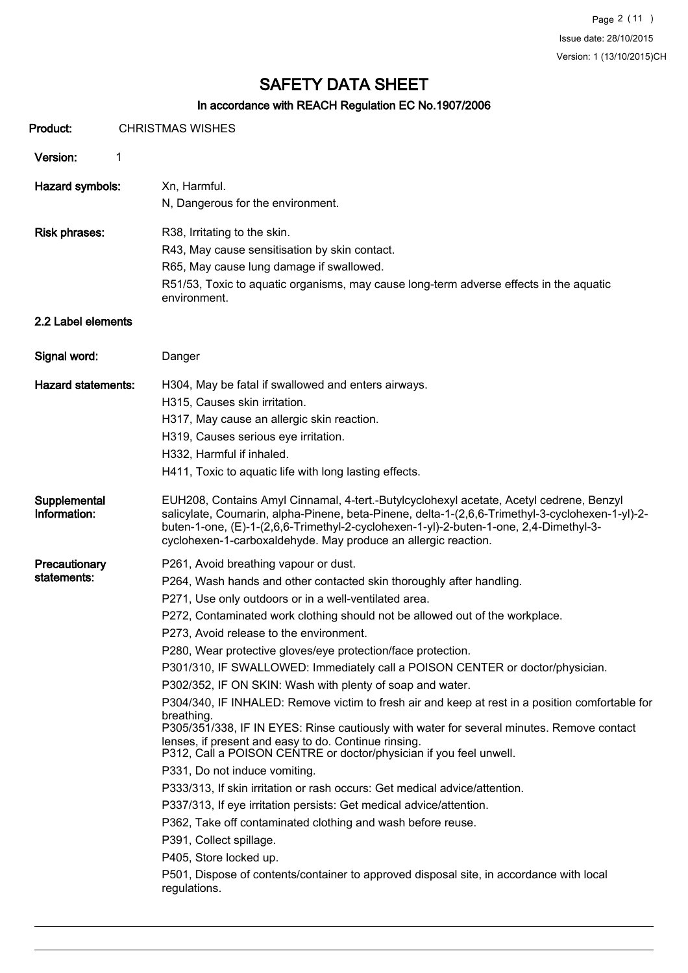Page 2 (11 ) Issue date: 28/10/2015 Version: 1 (13/10/2015)CH

# SAFETY DATA SHEET

# In accordance with REACH Regulation EC No.1907/2006

| Product:                     | In accordance with REACH Regulation EC NO. 1907/2006<br><b>CHRISTMAS WISHES</b>                                                                                                                                                                                                                                                                       |
|------------------------------|-------------------------------------------------------------------------------------------------------------------------------------------------------------------------------------------------------------------------------------------------------------------------------------------------------------------------------------------------------|
|                              |                                                                                                                                                                                                                                                                                                                                                       |
| Version:                     | 1                                                                                                                                                                                                                                                                                                                                                     |
| Hazard symbols:              | Xn, Harmful.                                                                                                                                                                                                                                                                                                                                          |
|                              | N, Dangerous for the environment.                                                                                                                                                                                                                                                                                                                     |
| <b>Risk phrases:</b>         | R38, Irritating to the skin.<br>R43, May cause sensitisation by skin contact.<br>R65, May cause lung damage if swallowed.<br>R51/53, Toxic to aquatic organisms, may cause long-term adverse effects in the aquatic<br>environment.                                                                                                                   |
| 2.2 Label elements           |                                                                                                                                                                                                                                                                                                                                                       |
| Signal word:                 | Danger                                                                                                                                                                                                                                                                                                                                                |
| <b>Hazard statements:</b>    | H304, May be fatal if swallowed and enters airways.                                                                                                                                                                                                                                                                                                   |
|                              | H315, Causes skin irritation.                                                                                                                                                                                                                                                                                                                         |
|                              | H317, May cause an allergic skin reaction.                                                                                                                                                                                                                                                                                                            |
|                              | H319, Causes serious eye irritation.                                                                                                                                                                                                                                                                                                                  |
|                              | H332, Harmful if inhaled.                                                                                                                                                                                                                                                                                                                             |
|                              | H411, Toxic to aquatic life with long lasting effects.                                                                                                                                                                                                                                                                                                |
| Supplemental<br>Information: | EUH208, Contains Amyl Cinnamal, 4-tert.-Butylcyclohexyl acetate, Acetyl cedrene, Benzyl<br>salicylate, Coumarin, alpha-Pinene, beta-Pinene, delta-1-(2,6,6-Trimethyl-3-cyclohexen-1-yl)-2-<br>buten-1-one, (E)-1-(2,6,6-Trimethyl-2-cyclohexen-1-yl)-2-buten-1-one, 2,4-Dimethyl-3-<br>cyclohexen-1-carboxaldehyde. May produce an allergic reaction. |
| Precautionary                | P261, Avoid breathing vapour or dust.                                                                                                                                                                                                                                                                                                                 |
| statements:                  | P264, Wash hands and other contacted skin thoroughly after handling.                                                                                                                                                                                                                                                                                  |
|                              | P271, Use only outdoors or in a well-ventilated area.                                                                                                                                                                                                                                                                                                 |
|                              | P272, Contaminated work clothing should not be allowed out of the workplace.                                                                                                                                                                                                                                                                          |
|                              | P273, Avoid release to the environment.                                                                                                                                                                                                                                                                                                               |
|                              | P280, Wear protective gloves/eye protection/face protection.                                                                                                                                                                                                                                                                                          |
|                              | P301/310, IF SWALLOWED: Immediately call a POISON CENTER or doctor/physician.                                                                                                                                                                                                                                                                         |
|                              | P302/352, IF ON SKIN: Wash with plenty of soap and water.                                                                                                                                                                                                                                                                                             |
|                              | P304/340, IF INHALED: Remove victim to fresh air and keep at rest in a position comfortable for                                                                                                                                                                                                                                                       |
|                              | breathing.<br>P305/351/338, IF IN EYES: Rinse cautiously with water for several minutes. Remove contact                                                                                                                                                                                                                                               |
|                              | lenses, if present and easy to do. Continue rinsing.<br>P312, Call a POISON CENTRE or doctor/physician if you feel unwell.                                                                                                                                                                                                                            |
|                              | P331, Do not induce vomiting.                                                                                                                                                                                                                                                                                                                         |
|                              | P333/313, If skin irritation or rash occurs: Get medical advice/attention.                                                                                                                                                                                                                                                                            |
|                              | P337/313, If eye irritation persists: Get medical advice/attention.                                                                                                                                                                                                                                                                                   |
|                              | P362, Take off contaminated clothing and wash before reuse.                                                                                                                                                                                                                                                                                           |
|                              | P391, Collect spillage.                                                                                                                                                                                                                                                                                                                               |
|                              | P405, Store locked up.                                                                                                                                                                                                                                                                                                                                |
|                              | P501, Dispose of contents/container to approved disposal site, in accordance with local<br>regulations.                                                                                                                                                                                                                                               |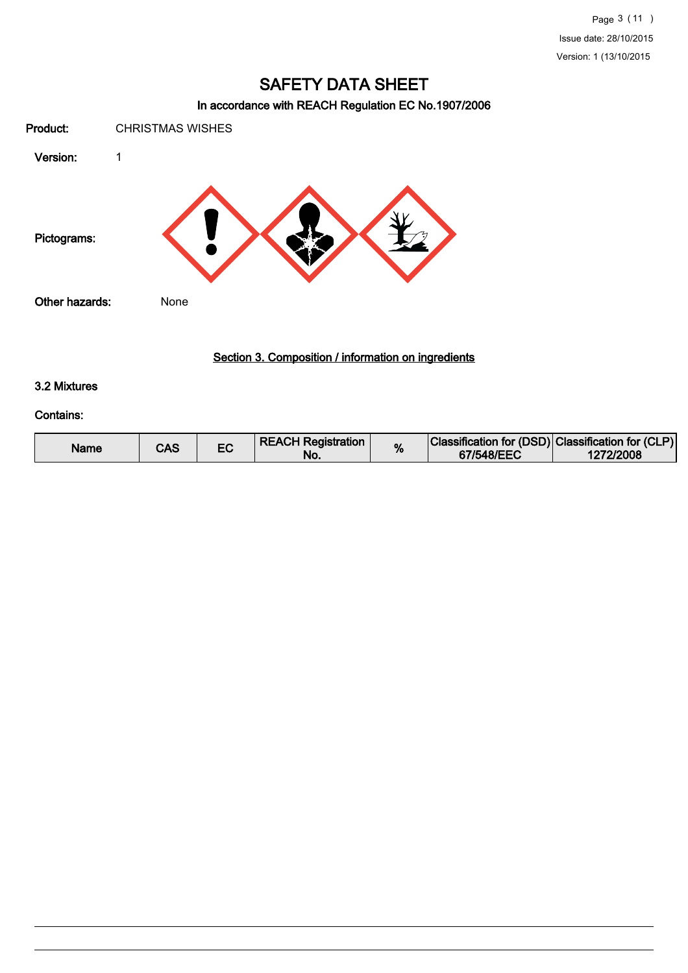### In accordance with REACH Regulation EC No.1907/2006

Product: CHRISTMAS WISHES Version: 1 Pictograms: Other hazards: None

### Section 3. Composition / information on ingredients

#### 3.2 Mixtures

#### Contains:

| Name | CAS |  | <b>REACH Registration</b><br>No. | % | Classification for (DSD) Classification for (CLP)<br>67/548/EEC | 1272/2008 |
|------|-----|--|----------------------------------|---|-----------------------------------------------------------------|-----------|
|------|-----|--|----------------------------------|---|-----------------------------------------------------------------|-----------|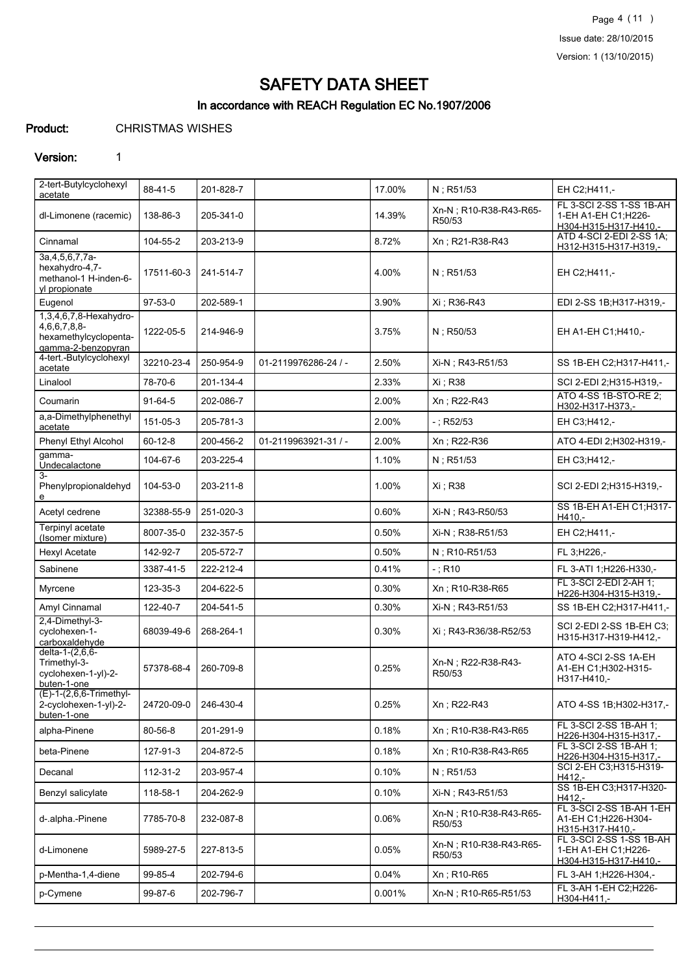Page 4 (11 ) Issue date: 28/10/2015 Version: 1 (13/10/2015)

# SAFETY DATA SHEET

## In accordance with REACH Regulation EC No.1907/2006

Product: CHRISTMAS WISHES

#### Version: 1

| 2-tert-Butylcyclohexyl<br>acetate                                                          | 88-41-5       | 201-828-7 |                      | 17.00% | N; R51/53                         | EH C2;H411,-                                                              |
|--------------------------------------------------------------------------------------------|---------------|-----------|----------------------|--------|-----------------------------------|---------------------------------------------------------------------------|
| dl-Limonene (racemic)                                                                      | 138-86-3      | 205-341-0 |                      | 14.39% | Xn-N; R10-R38-R43-R65-<br>R50/53  | FL 3-SCI 2-SS 1-SS 1B-AH<br>1-EH A1-EH C1;H226-<br>H304-H315-H317-H410,-  |
| Cinnamal                                                                                   | 104-55-2      | 203-213-9 |                      | 8.72%  | Xn; R21-R38-R43                   | ATD 4-SCI 2-EDI 2-SS 1A;<br>H312-H315-H317-H319,-                         |
| 3a, 4, 5, 6, 7, 7a-<br>hexahydro-4,7-<br>methanol-1 H-inden-6-<br>yl propionate            | 17511-60-3    | 241-514-7 |                      | 4.00%  | N; R51/53                         | EH C2;H411,-                                                              |
| Eugenol                                                                                    | $97 - 53 - 0$ | 202-589-1 |                      | 3.90%  | Xi : R36-R43                      | EDI 2-SS 1B:H317-H319,-                                                   |
| 1,3,4,6,7,8-Hexahydro-<br>4, 6, 6, 7, 8, 8-<br>hexamethylcyclopenta-<br>gamma-2-benzopyran | 1222-05-5     | 214-946-9 |                      | 3.75%  | $N$ ; R50/53                      | EH A1-EH C1; H410,-                                                       |
| 4-tert.-Butylcyclohexyl<br>acetate                                                         | 32210-23-4    | 250-954-9 | 01-2119976286-24 / - | 2.50%  | Xi-N; R43-R51/53                  | SS 1B-EH C2;H317-H411,-                                                   |
| Linalool                                                                                   | 78-70-6       | 201-134-4 |                      | 2.33%  | Xi : R38                          | SCI 2-EDI 2;H315-H319,-                                                   |
| Coumarin                                                                                   | $91 - 64 - 5$ | 202-086-7 |                      | 2.00%  | Xn; R22-R43                       | ATO 4-SS 1B-STO-RE 2;<br>H302-H317-H373,-                                 |
| a,a-Dimethylphenethyl<br>acetate                                                           | 151-05-3      | 205-781-3 |                      | 2.00%  | $-$ ; R52/53                      | EH C3;H412,-                                                              |
| Phenyl Ethyl Alcohol                                                                       | $60 - 12 - 8$ | 200-456-2 | 01-2119963921-31 / - | 2.00%  | Xn; R22-R36                       | ATO 4-EDI 2;H302-H319,-                                                   |
| gamma-<br>Undecalactone                                                                    | 104-67-6      | 203-225-4 |                      | 1.10%  | $N$ ; R51/53                      | EH C3;H412,-                                                              |
| $3-$<br>Phenylpropionaldehyd<br>е                                                          | 104-53-0      | 203-211-8 |                      | 1.00%  | Xi ; R38                          | SCI 2-EDI 2;H315-H319,-                                                   |
| Acetyl cedrene                                                                             | 32388-55-9    | 251-020-3 |                      | 0.60%  | Xi-N; R43-R50/53                  | SS 1B-EH A1-EH C1; H317-<br>H410,-                                        |
| Terpinyl acetate<br>(Isomer mixture)                                                       | 8007-35-0     | 232-357-5 |                      | 0.50%  | Xi-N; R38-R51/53                  | EH C2;H411,-                                                              |
| <b>Hexyl Acetate</b>                                                                       | 142-92-7      | 205-572-7 |                      | 0.50%  | N; R10-R51/53                     | FL 3;H226,-                                                               |
| Sabinene                                                                                   | 3387-41-5     | 222-212-4 |                      | 0.41%  | $-$ ; R10                         | FL 3-ATI 1;H226-H330,-                                                    |
| Myrcene                                                                                    | 123-35-3      | 204-622-5 |                      | 0.30%  | Xn; R10-R38-R65                   | FL 3-SCI 2-EDI 2-AH 1;<br>H226-H304-H315-H319,-                           |
| Amyl Cinnamal                                                                              | 122-40-7      | 204-541-5 |                      | 0.30%  | Xi-N; R43-R51/53                  | SS 1B-EH C2; H317-H411,-                                                  |
| 2,4-Dimethyl-3-<br>cyclohexen-1-<br>carboxaldehyde                                         | 68039-49-6    | 268-264-1 |                      | 0.30%  | Xi: R43-R36/38-R52/53             | SCI 2-EDI 2-SS 1B-EH C3;<br>H315-H317-H319-H412 .-                        |
| delta-1-(2,6,6-<br>Trimethyl-3-<br>cyclohexen-1-yl)-2-<br>buten-1-one                      | 57378-68-4    | 260-709-8 |                      | 0.25%  | Xn-N; R22-R38-R43-<br>R50/53      | ATO 4-SCI 2-SS 1A-EH<br>A1-EH C1;H302-H315-<br>H317-H410,-                |
| (E)-1-(2,6,6-Trimethyl-<br>2-cyclohexen-1-yl)-2-<br>buten-1-one                            | 24720-09-0    | 246-430-4 |                      | 0.25%  | Xn; R22-R43                       | ATO 4-SS 1B; H302-H317,-                                                  |
| alpha-Pinene                                                                               | 80-56-8       | 201-291-9 |                      | 0.18%  | Xn: R10-R38-R43-R65               | FL 3-SCI 2-SS 1B-AH 1:<br>H226-H304-H315-H317,-                           |
| beta-Pinene                                                                                | 127-91-3      | 204-872-5 |                      | 0.18%  | Xn; R10-R38-R43-R65               | FL 3-SCI 2-SS 1B-AH 1;<br>H226-H304-H315-H317,-                           |
| Decanal                                                                                    | 112-31-2      | 203-957-4 |                      | 0.10%  | $N$ ; R51/53                      | SCI 2-EH C3;H315-H319-<br>H412,-                                          |
| Benzyl salicylate                                                                          | 118-58-1      | 204-262-9 |                      | 0.10%  | Xi-N; R43-R51/53                  | SS 1B-EH C3; H317-H320-<br>H412,-                                         |
| d-.alpha.-Pinene                                                                           | 7785-70-8     | 232-087-8 |                      | 0.06%  | Xn-N : R10-R38-R43-R65-<br>R50/53 | FL 3-SCI 2-SS 1B-AH 1-EH<br>A1-EH C1:H226-H304-<br>H315-H317-H410,-       |
| d-Limonene                                                                                 | 5989-27-5     | 227-813-5 |                      | 0.05%  | Xn-N ; R10-R38-R43-R65-<br>R50/53 | FL 3-SCI 2-SS 1-SS 1B-AH<br>1-EH A1-EH C1: H226-<br>H304-H315-H317-H410 - |
| p-Mentha-1,4-diene                                                                         | 99-85-4       | 202-794-6 |                      | 0.04%  | Xn; R10-R65                       | FL 3-AH 1;H226-H304,-                                                     |
| p-Cymene                                                                                   | 99-87-6       | 202-796-7 |                      | 0.001% | Xn-N; R10-R65-R51/53              | FL 3-AH 1-EH C2;H226-<br>H304-H411,-                                      |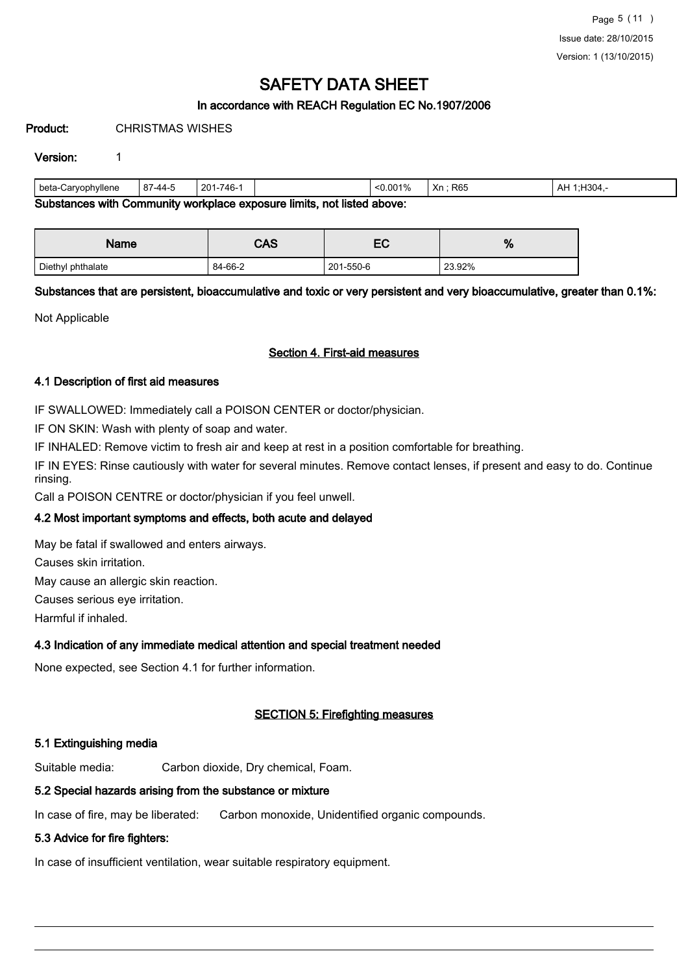### In accordance with REACH Regulation EC No.1907/2006

Product: CHRISTMAS WISHES

#### Version: 1

| peta-Caryophyllene                                                                 | $87 - 44 - 5$ | 201-746- |  | < 0.001% | R <sub>65</sub><br>Xn | H304.<br>AH<br>⊶ |
|------------------------------------------------------------------------------------|---------------|----------|--|----------|-----------------------|------------------|
| Substances with<br>not listed above: .<br>. Community workplace exposure limits. I |               |          |  |          |                       |                  |

ances with Community workplace exposure limits, not listed above:

| Name              | <b>CAS</b> | r/<br>cc  | 0/<br>70 |
|-------------------|------------|-----------|----------|
| Diethyl phthalate | 84-66-2    | 201-550-6 | 23.92%   |

Substances that are persistent, bioaccumulative and toxic or very persistent and very bioaccumulative, greater than 0.1%:

Not Applicable

#### Section 4. First-aid measures

#### 4.1 Description of first aid measures

IF SWALLOWED: Immediately call a POISON CENTER or doctor/physician.

IF ON SKIN: Wash with plenty of soap and water.

IF INHALED: Remove victim to fresh air and keep at rest in a position comfortable for breathing.

IF IN EYES: Rinse cautiously with water for several minutes. Remove contact lenses, if present and easy to do. Continue rinsing.

Call a POISON CENTRE or doctor/physician if you feel unwell.

#### 4.2 Most important symptoms and effects, both acute and delayed

May be fatal if swallowed and enters airways.

Causes skin irritation.

May cause an allergic skin reaction.

Causes serious eye irritation.

Harmful if inhaled.

#### 4.3 Indication of any immediate medical attention and special treatment needed

None expected, see Section 4.1 for further information.

#### SECTION 5: Firefighting measures

#### 5.1 Extinguishing media

Suitable media: Carbon dioxide, Dry chemical, Foam.

### 5.2 Special hazards arising from the substance or mixture

In case of fire, may be liberated: Carbon monoxide, Unidentified organic compounds.

### 5.3 Advice for fire fighters:

In case of insufficient ventilation, wear suitable respiratory equipment.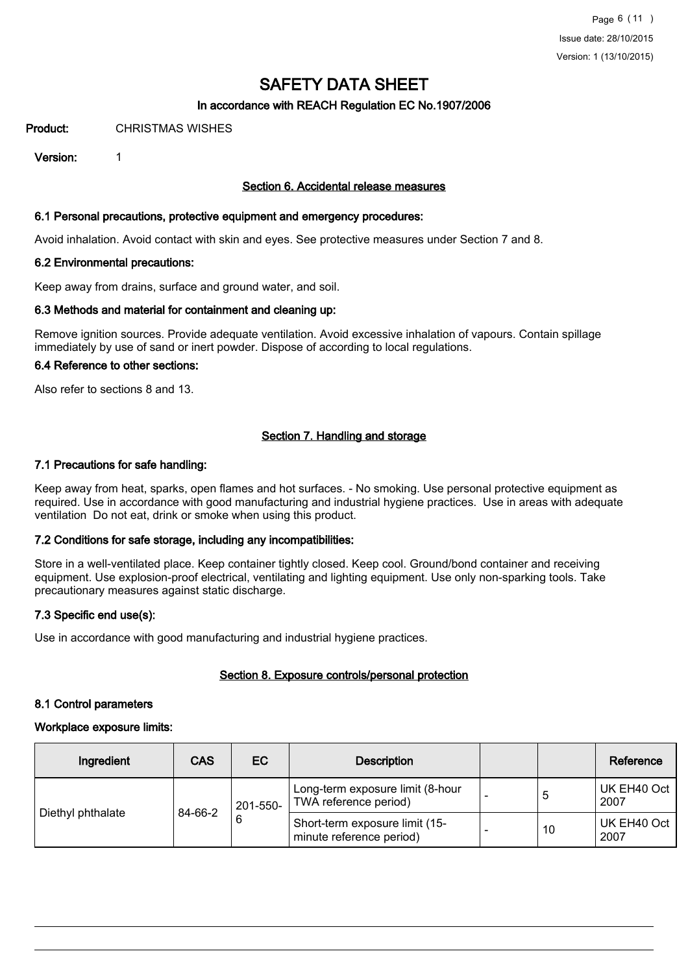#### In accordance with REACH Regulation EC No.1907/2006

Product: CHRISTMAS WISHES

Version: 1

#### Section 6. Accidental release measures

#### 6.1 Personal precautions, protective equipment and emergency procedures:

Avoid inhalation. Avoid contact with skin and eyes. See protective measures under Section 7 and 8.

#### 6.2 Environmental precautions:

Keep away from drains, surface and ground water, and soil.

#### 6.3 Methods and material for containment and cleaning up:

Remove ignition sources. Provide adequate ventilation. Avoid excessive inhalation of vapours. Contain spillage immediately by use of sand or inert powder. Dispose of according to local regulations.

### 6.4 Reference to other sections:

Also refer to sections 8 and 13.

#### Section 7. Handling and storage

#### 7.1 Precautions for safe handling:

Keep away from heat, sparks, open flames and hot surfaces. - No smoking. Use personal protective equipment as required. Use in accordance with good manufacturing and industrial hygiene practices. Use in areas with adequate ventilation Do not eat, drink or smoke when using this product.

#### 7.2 Conditions for safe storage, including any incompatibilities:

Store in a well-ventilated place. Keep container tightly closed. Keep cool. Ground/bond container and receiving equipment. Use explosion-proof electrical, ventilating and lighting equipment. Use only non-sparking tools. Take precautionary measures against static discharge.

#### 7.3 Specific end use(s):

Use in accordance with good manufacturing and industrial hygiene practices.

#### Section 8. Exposure controls/personal protection

#### 8.1 Control parameters

#### Workplace exposure limits:

| Ingredient        | CAS          | EC.      | <b>Description</b>                                         |    | Reference           |
|-------------------|--------------|----------|------------------------------------------------------------|----|---------------------|
| Diethyl phthalate | 84-66-2<br>6 | 201-550- | Long-term exposure limit (8-hour<br>TWA reference period)  | 5  | UK EH40 Oct<br>2007 |
|                   |              |          | Short-term exposure limit (15-<br>minute reference period) | 10 | UK EH40 Oct<br>2007 |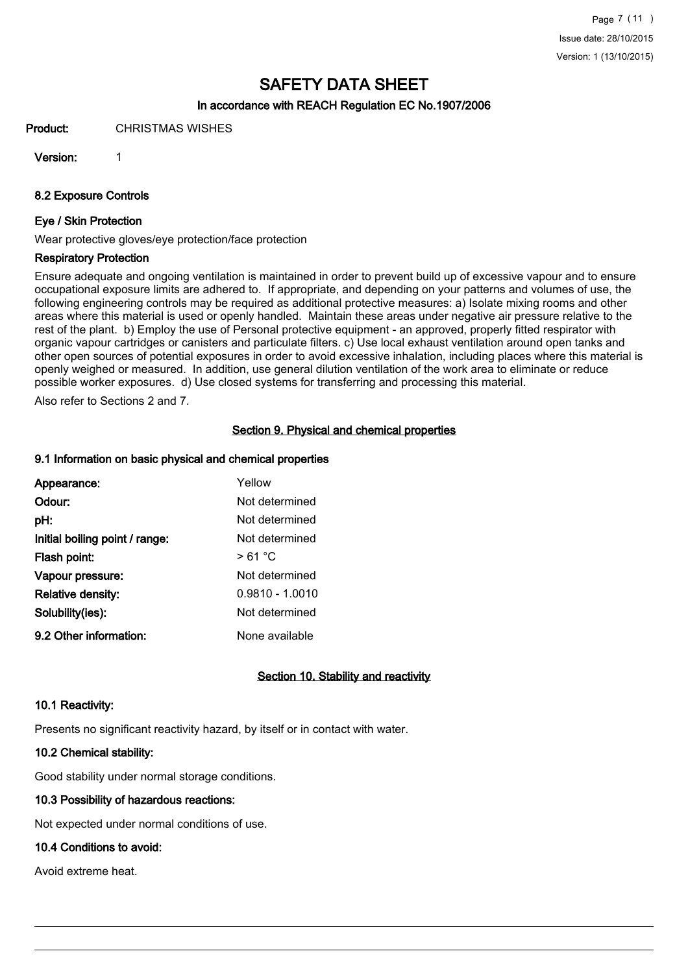#### In accordance with REACH Regulation EC No.1907/2006

Product: CHRISTMAS WISHES

Version: 1

8.2 Exposure Controls

#### Eye / Skin Protection

Wear protective gloves/eye protection/face protection

#### Respiratory Protection

Ensure adequate and ongoing ventilation is maintained in order to prevent build up of excessive vapour and to ensure occupational exposure limits are adhered to. If appropriate, and depending on your patterns and volumes of use, the following engineering controls may be required as additional protective measures: a) Isolate mixing rooms and other areas where this material is used or openly handled. Maintain these areas under negative air pressure relative to the rest of the plant. b) Employ the use of Personal protective equipment - an approved, properly fitted respirator with organic vapour cartridges or canisters and particulate filters. c) Use local exhaust ventilation around open tanks and other open sources of potential exposures in order to avoid excessive inhalation, including places where this material is openly weighed or measured. In addition, use general dilution ventilation of the work area to eliminate or reduce possible worker exposures. d) Use closed systems for transferring and processing this material.

Also refer to Sections 2 and 7.

#### Section 9. Physical and chemical properties

#### 9.1 Information on basic physical and chemical properties

| Appearance:                    | Yellow            |
|--------------------------------|-------------------|
| Odour:                         | Not determined    |
| pH:                            | Not determined    |
| Initial boiling point / range: | Not determined    |
| Flash point:                   | > 61 °C           |
| Vapour pressure:               | Not determined    |
| <b>Relative density:</b>       | $0.9810 - 1.0010$ |
| Solubility(ies):               | Not determined    |
| 9.2 Other information:         | None available    |

#### Section 10. Stability and reactivity

#### 10.1 Reactivity:

Presents no significant reactivity hazard, by itself or in contact with water.

### 10.2 Chemical stability:

Good stability under normal storage conditions.

## 10.3 Possibility of hazardous reactions:

Not expected under normal conditions of use.

### 10.4 Conditions to avoid:

Avoid extreme heat.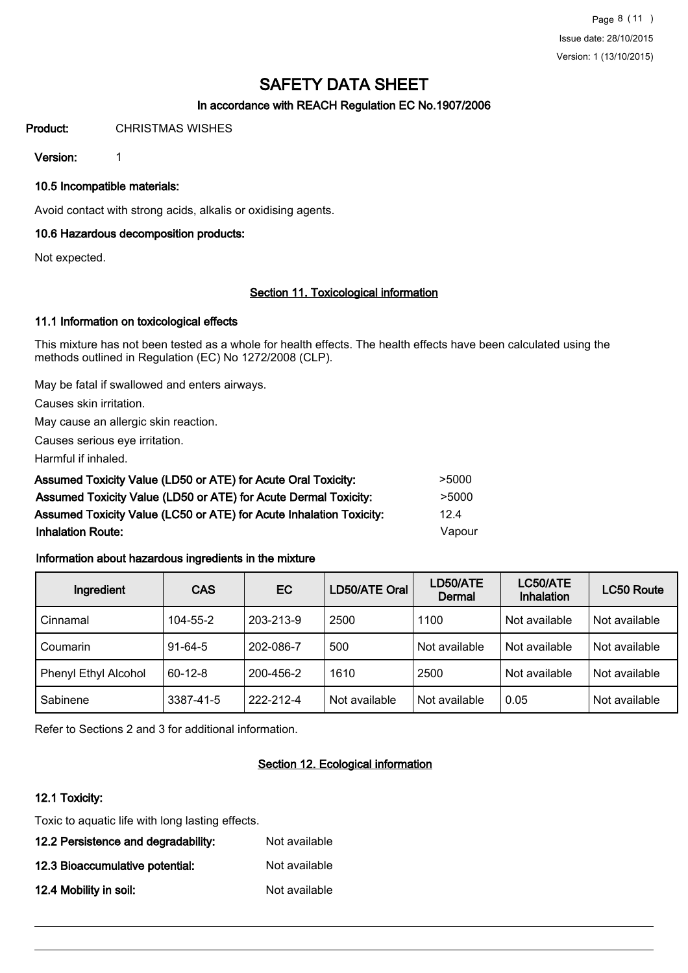### In accordance with REACH Regulation EC No.1907/2006

#### Product: CHRISTMAS WISHES

Version: 1

10.5 Incompatible materials:

Avoid contact with strong acids, alkalis or oxidising agents.

#### 10.6 Hazardous decomposition products:

Not expected.

#### Section 11. Toxicological information

#### 11.1 Information on toxicological effects

This mixture has not been tested as a whole for health effects. The health effects have been calculated using the methods outlined in Regulation (EC) No 1272/2008 (CLP).

May be fatal if swallowed and enters airways.

Causes skin irritation.

May cause an allergic skin reaction.

Causes serious eye irritation.

Harmful if inhaled.

| Assumed Toxicity Value (LD50 or ATE) for Acute Oral Toxicity:       | >5000  |
|---------------------------------------------------------------------|--------|
| Assumed Toxicity Value (LD50 or ATE) for Acute Dermal Toxicity:     | >5000  |
| Assumed Toxicity Value (LC50 or ATE) for Acute Inhalation Toxicity: | 12.4   |
| <b>Inhalation Route:</b>                                            | Vapour |

#### Information about hazardous ingredients in the mixture

| Ingredient           | <b>CAS</b>    | EC.       | LD50/ATE Oral | LD50/ATE<br>Dermal | LC50/ATE<br><b>Inhalation</b> | <b>LC50 Route</b> |
|----------------------|---------------|-----------|---------------|--------------------|-------------------------------|-------------------|
| Cinnamal             | 104-55-2      | 203-213-9 | 2500          | 1100               | Not available                 | Not available     |
| Coumarin             | $91 - 64 - 5$ | 202-086-7 | 500           | Not available      | Not available                 | Not available     |
| Phenyl Ethyl Alcohol | $60 - 12 - 8$ | 200-456-2 | 1610          | 2500               | Not available                 | Not available     |
| Sabinene             | 3387-41-5     | 222-212-4 | Not available | Not available      | 0.05                          | Not available     |

Refer to Sections 2 and 3 for additional information.

### Section 12. Ecological information

#### 12.1 Toxicity:

Toxic to aquatic life with long lasting effects.

| 12.2 Persistence and degradability: | Not available |
|-------------------------------------|---------------|
| 12.3 Bioaccumulative potential:     | Not available |
| 12.4 Mobility in soil:              | Not available |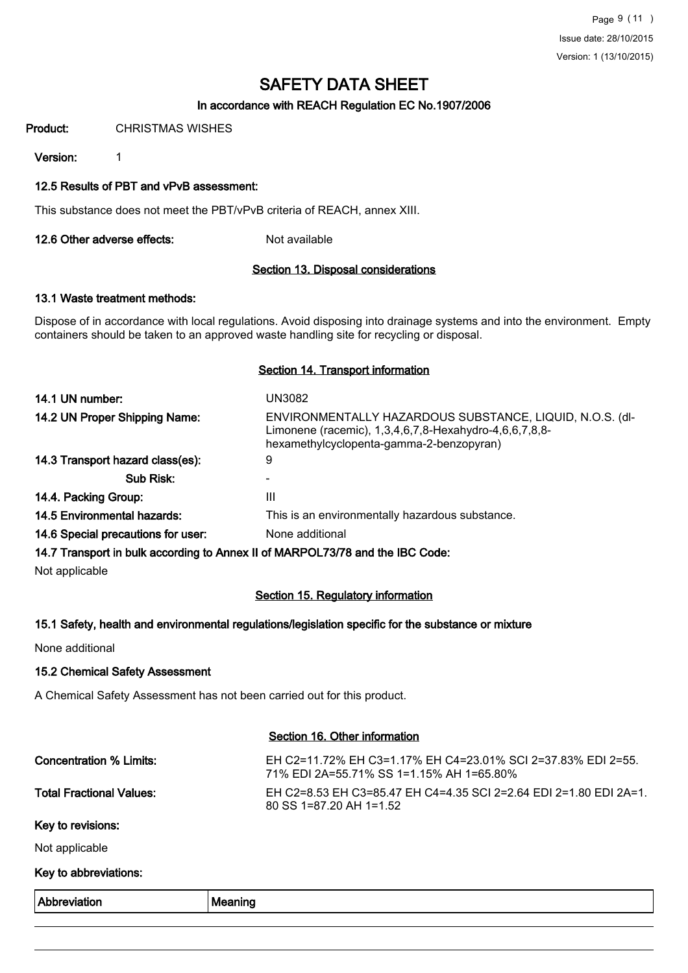Page 9 (11 ) Issue date: 28/10/2015 Version: 1 (13/10/2015)

# SAFETY DATA SHEET

#### In accordance with REACH Regulation EC No.1907/2006

Product: CHRISTMAS WISHES

Version: 1

#### 12.5 Results of PBT and vPvB assessment:

This substance does not meet the PBT/vPvB criteria of REACH, annex XIII.

12.6 Other adverse effects: Not available

#### Section 13. Disposal considerations

#### 13.1 Waste treatment methods:

Dispose of in accordance with local regulations. Avoid disposing into drainage systems and into the environment. Empty containers should be taken to an approved waste handling site for recycling or disposal.

#### Section 14. Transport information

| 14.1 UN number:                    | UN3082                                                                                                                                                         |
|------------------------------------|----------------------------------------------------------------------------------------------------------------------------------------------------------------|
| 14.2 UN Proper Shipping Name:      | ENVIRONMENTALLY HAZARDOUS SUBSTANCE, LIQUID, N.O.S. (dl-<br>Limonene (racemic), 1,3,4,6,7,8-Hexahydro-4,6,6,7,8,8-<br>hexamethylcyclopenta-gamma-2-benzopyran) |
| 14.3 Transport hazard class(es):   | 9                                                                                                                                                              |
| Sub Risk:                          |                                                                                                                                                                |
| 14.4. Packing Group:               | Ш                                                                                                                                                              |
| <b>14.5 Environmental hazards:</b> | This is an environmentally hazardous substance.                                                                                                                |
| 14.6 Special precautions for user: | None additional                                                                                                                                                |
|                                    | 14.7 Transport in bulk according to Annex II of MARPOL73/78 and the IBC Code:                                                                                  |

Not applicable

### Section 15. Regulatory information

#### 15.1 Safety, health and environmental regulations/legislation specific for the substance or mixture

None additional

#### 15.2 Chemical Safety Assessment

A Chemical Safety Assessment has not been carried out for this product.

| Abbreviation                    | Meaning                                                                                                  |
|---------------------------------|----------------------------------------------------------------------------------------------------------|
| Key to abbreviations:           |                                                                                                          |
| Not applicable                  |                                                                                                          |
| Key to revisions:               |                                                                                                          |
| <b>Total Fractional Values:</b> | EH C2=8.53 EH C3=85.47 EH C4=4.35 SCI 2=2.64 EDI 2=1.80 EDI 2A=1.<br>80 SS 1=87.20 AH 1=1.52             |
| Concentration % Limits:         | EH C2=11.72% EH C3=1.17% EH C4=23.01% SCI 2=37.83% EDI 2=55.<br>71% EDI 2A=55.71% SS 1=1.15% AH 1=65.80% |
|                                 | Section 16. Other information                                                                            |

Section 16. Other information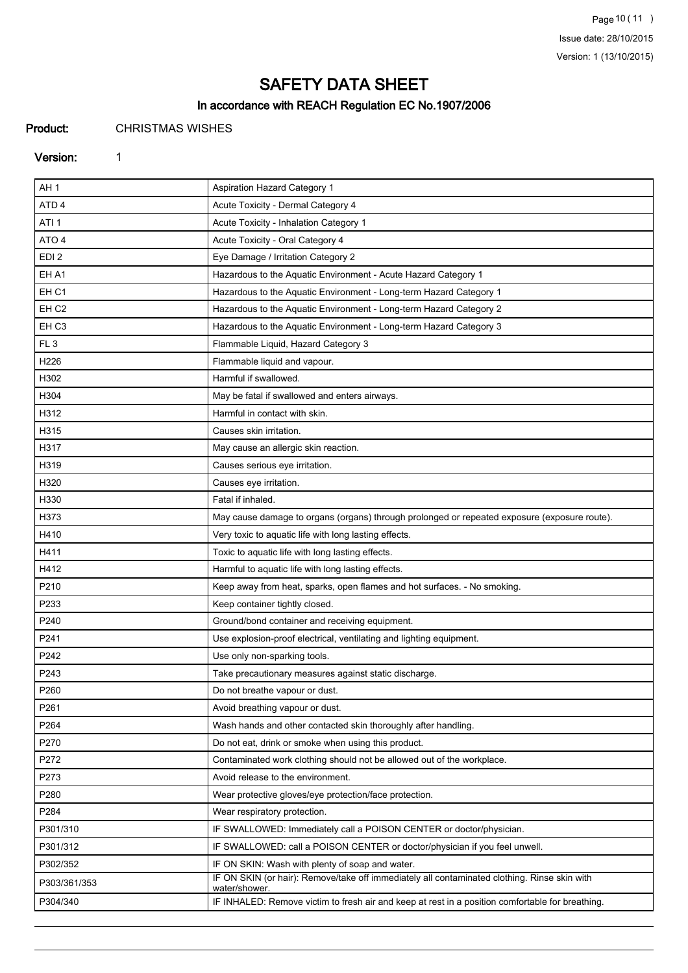Page 10 (11) Issue date: 28/10/2015 Version: 1 (13/10/2015)

# SAFETY DATA SHEET

### In accordance with REACH Regulation EC No.1907/2006

Product: CHRISTMAS WISHES

#### Version: 1

| AH <sub>1</sub>  | Aspiration Hazard Category 1                                                                                  |
|------------------|---------------------------------------------------------------------------------------------------------------|
| ATD <sub>4</sub> | Acute Toxicity - Dermal Category 4                                                                            |
| ATI <sub>1</sub> | Acute Toxicity - Inhalation Category 1                                                                        |
| ATO <sub>4</sub> | Acute Toxicity - Oral Category 4                                                                              |
| EDI <sub>2</sub> | Eye Damage / Irritation Category 2                                                                            |
| EH A1            | Hazardous to the Aquatic Environment - Acute Hazard Category 1                                                |
| EH <sub>C1</sub> | Hazardous to the Aquatic Environment - Long-term Hazard Category 1                                            |
| EH <sub>C2</sub> | Hazardous to the Aquatic Environment - Long-term Hazard Category 2                                            |
| EH <sub>C3</sub> | Hazardous to the Aquatic Environment - Long-term Hazard Category 3                                            |
| FL <sub>3</sub>  | Flammable Liquid, Hazard Category 3                                                                           |
| H226             | Flammable liquid and vapour.                                                                                  |
| H302             | Harmful if swallowed.                                                                                         |
| H304             | May be fatal if swallowed and enters airways.                                                                 |
| H312             | Harmful in contact with skin.                                                                                 |
| H315             | Causes skin irritation.                                                                                       |
| H317             | May cause an allergic skin reaction.                                                                          |
| H319             | Causes serious eye irritation.                                                                                |
| H320             | Causes eye irritation.                                                                                        |
| H330             | Fatal if inhaled.                                                                                             |
| H373             | May cause damage to organs (organs) through prolonged or repeated exposure (exposure route).                  |
| H410             | Very toxic to aquatic life with long lasting effects.                                                         |
| H411             | Toxic to aquatic life with long lasting effects.                                                              |
| H412             | Harmful to aquatic life with long lasting effects.                                                            |
| P210             | Keep away from heat, sparks, open flames and hot surfaces. - No smoking.                                      |
| P233             | Keep container tightly closed.                                                                                |
| P240             | Ground/bond container and receiving equipment.                                                                |
| P241             | Use explosion-proof electrical, ventilating and lighting equipment.                                           |
| P242             | Use only non-sparking tools.                                                                                  |
| P243             | Take precautionary measures against static discharge.                                                         |
| P260             | Do not breathe vapour or dust.                                                                                |
| P261             | Avoid breathing vapour or dust.                                                                               |
| P264             | Wash hands and other contacted skin thoroughly after handling.                                                |
| P270             | Do not eat, drink or smoke when using this product.                                                           |
| P272             | Contaminated work clothing should not be allowed out of the workplace.                                        |
| P273             | Avoid release to the environment.                                                                             |
| P280             | Wear protective gloves/eye protection/face protection.                                                        |
| P284             | Wear respiratory protection.                                                                                  |
| P301/310         | IF SWALLOWED: Immediately call a POISON CENTER or doctor/physician.                                           |
| P301/312         | IF SWALLOWED: call a POISON CENTER or doctor/physician if you feel unwell.                                    |
| P302/352         | IF ON SKIN: Wash with plenty of soap and water.                                                               |
| P303/361/353     | IF ON SKIN (or hair): Remove/take off immediately all contaminated clothing. Rinse skin with<br>water/shower. |
| P304/340         | IF INHALED: Remove victim to fresh air and keep at rest in a position comfortable for breathing.              |